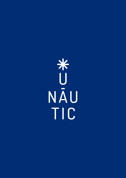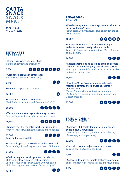

**11:30 - 23:00 \*\*\* 11:30 - 18:30**

### **ENTRANTES** *STARTERS*

• Croquetas caseras variadas (8 uds.) *Variety of homemade croquettes.*

9,50€

00000000

• Gazpacho andaluz (en temporada). *Andalusian "Gazpacho" (seasonal).*

7,50€

• Gambas al ajillo. *Garlic prawns.*

16,00€

• Calamar a la andaluza con alioli. *"Andalusian style" squid with homemade "alioli".*

16,50€



2 4 5 10 11

 $\overline{2}$   $\overline{12}$ 

 $\overline{\phantom{a}}$ 

• Tartar de salmón con aguacate, mango y sésamo. *Salmon Tartar with avocado, mango and sesame.*

#### 16,50€

• Nachos Tex Mex con salsa ranchera y jalapeños. *Nachos Tex Mex with ranchera sauce and jalapeños.* 

13,00€ Extra Pulled pork. +2.00€



 $\bullet$   $\bullet$   $\bullet$   $\bullet$ 

• Rollitos de gambas con verduras y salsa sweetchilli. *Prawn springrolls with veggies and sweet chilli sauce.* 

#### 14,50€

• Ceviche de pulpo local y gambas con cebolla, chile, pimiento, aguacate y leche de tigre. *Local octopus and prawn Ceviche with red onion,* 

*chilli, bell pepper, avocado and "leche de tigre".* 

## **ENSALADAS** *SALADS*

• Ensalada de gambas con mango, sésamo, cilantro y nuestro aderezo "Thai".

*Prawn salad with mango, sesame, coriander and our "Thai" dressing.* 

#### 18,90€



• Ensalada de ventresca de atún con lechugas variadas, tomates cherri y cebolla morada. *Tuna belly Salad with mixed lettuce, Cherry tomato and red onion.*





• Ensalada templada de queso de cabra con brotes variados, frutas del bosque y nuestro aliño casero. *Warm goat cheese Salad with mixed lettuce, berries and our house dressing.*

14,90€



• Ensalada "César" con lechuga variada, pollo marinado, tomates cherri, crutones caseros y aderezo César.

*"Caesar" Salad with mixed lettuce, marinated chicken, Cherry tomato, homemade croutons and Caesar dressing.*

13,00€



# **SÁNDWICHES \*\*\*** *SANDWICHES*

• Sándwich Club (pollo, tomate, lechuga, bacon, queso, huevo y mayonesa).

*Club Sandwich (chicken, tomato, lettuce, bacon, cheese, egg and mayonnaise).* 

11,50€



• Sándwich tostado de jamón de york y queso. *Toasted ham and cheese sandwich.* 

### 4,75€



• Sándwich de atún con tomate, lechuga y mayonesa. *Tuna Sandwich with tomato, lettuce and mayonnaise.*



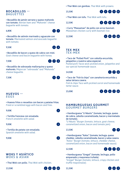### **BOCADILLOS \*\*\*** *BAGUETTES*

• Bocadillo de jamón serrano y queso mahonés con tomate. *Iberian ham and "Mahonés" cheese baguette with tomato.* 

6,80€

• Bocadillo de salmón marinado y aguacate con tomate. *Marinated salmon and avocado baguette with tomato.*

#### 9,50€

 $\left( 1 \right)$   $\left( 4 \right)$ 

 $\mathbf \Omega$ 

• Bocadillo de bacon y queso de cabra con miel. *Goat cheese and bacon baguette with honey.*



• Bocadillo de sobrasada mallorquina y queso mahonés. *Majorcan "sobrasada" and "Mahonés" cheese baguette.*

7,50€



 $2<sup>7</sup>$ 

 $\mathbf{Z}$ 

 $\mathbf{Z}$ 

 $\bullet$   $\bullet$   $\bullet$ 

## **HUEVOS \*\*\*** *EGGS*

• Huevos fritos o revueltos con bacon y patatas fritas. *Fried or scrambled eggs with bacon and fries.* 

9,00€

• Tortilla francesa con ensalada. *French omelette with salad.* 

9,00€

• Tortilla de patata con ensalada. *Spanish omelette with salad.* 

9,00€

## **WOKS Y ASIÁTICO** *WOKS & ASIAN*

• Thai Wok con pollo. *Thai Wok with chicken.*





• Thai Wok con gambas. *Thai Wok with prawns.* 

15,50€



0060m

• Thai Wok con tofu. *Thai Wok with tofu.* 

12,50€

• Curry "Massaman" de pollo con arroz basmati. *Massaman chicken curry with basmati rice.*

12,50€



# **TEX MEX** *TEX-MEX*

• Taco de "Pulled Pork" con cebolla encurtida, jalapeños y nuestra salsa especial.

*Pulled pork Tacos wick pickled onion, jalapeños and our special homemade sauce.*

14,50€



• Taco de "Fish & chips" con zanahoria encurtida y salsa tártara casera.

*Fish & chips Taco with pickled carrot and homemade tartar sauce.*

15,00€



## **HAMBURGUESAS GOURMET**  *GOURMET BURGERS*

• Hamburguesa "U Nàutic" (tomate, lechuga, queso de cabra, cebolla caramelizada, bacon y mermelada de tomate).

*"U Nàutic" Burger (tomato, lettuce, goat cheese, caramelized onion, bacon and tomato jam).* 

13,50€



• Hamburguesa "Xaloc" (tomate, lechuga, queso cheddar, cebolla caramelizada, bacon y salsa casera. *"Xaloc" Burger (tomato, lettuce, cheddar cheese, caramelized onion, bacon and homemade sauce).* 

12,50€

- $\bullet$  2  $\bullet$   $\bullet$
- Hamburguesa "Gregal" (tomate, lechuga, pollo empanado y mayonesa trufada).

*"Gregal" Burger (tomato, lettuce, crispy chicken and truffle mayonnaise).*